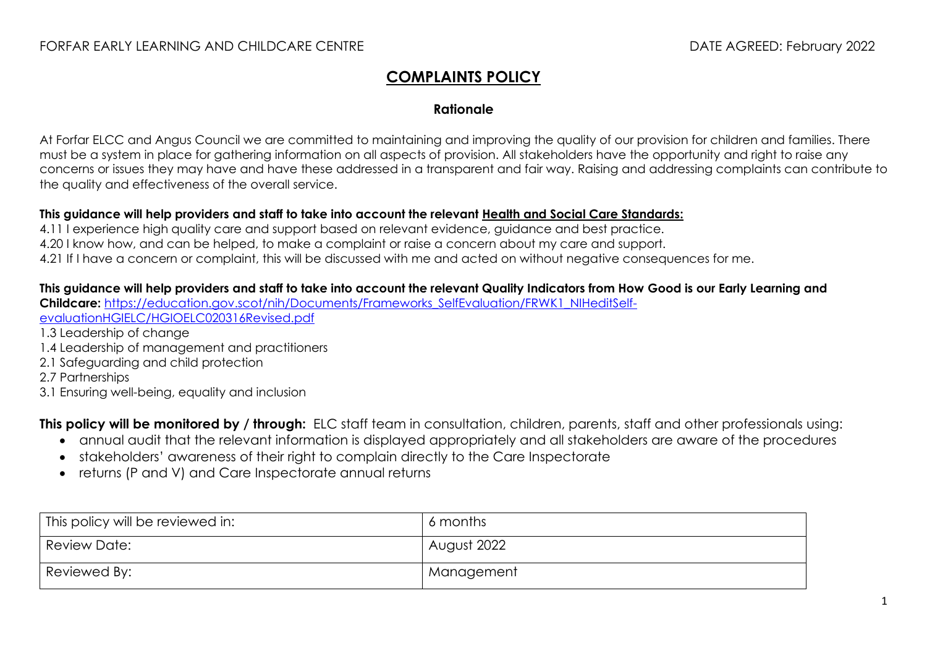## **COMPLAINTS POLICY**

### **Rationale**

At Forfar ELCC and Angus Council we are committed to maintaining and improving the quality of our provision for children and families. There must be a system in place for gathering information on all aspects of provision. All stakeholders have the opportunity and right to raise any concerns or issues they may have and have these addressed in a transparent and fair way. Raising and addressing complaints can contribute to the quality and effectiveness of the overall service.

#### **This guidance will help providers and staff to take into account the relevant [Health and Social Care Standards:](https://www.gov.scot/binaries/content/documents/govscot/publications/advice-and-guidance/2017/06/health-social-care-standards-support-life/documents/00520693-pdf/00520693-pdf/govscot%3Adocument/00520693.pdf)**

4.11 I experience high quality care and support based on relevant evidence, auidance and best practice. 4.20 I know how, and can be helped, to make a complaint or raise a concern about my care and support.

4.21 If I have a concern or complaint, this will be discussed with me and acted on without negative consequences for me.

#### **This guidance will help providers and staff to take into account the relevant Quality Indicators from How Good is our Early Learning and**

**Childcare:** [https://education.gov.scot/nih/Documents/Frameworks\\_SelfEvaluation/FRWK1\\_NIHeditSelf](https://education.gov.scot/nih/Documents/Frameworks_SelfEvaluation/FRWK1_NIHeditSelf-evaluationHGIELC/HGIOELC020316Revised.pdf)[evaluationHGIELC/HGIOELC020316Revised.pdf](https://education.gov.scot/nih/Documents/Frameworks_SelfEvaluation/FRWK1_NIHeditSelf-evaluationHGIELC/HGIOELC020316Revised.pdf)

- 1.3 Leadership of change
- 1.4 Leadership of management and practitioners
- 2.1 Safeguarding and child protection
- 2.7 Partnerships
- 3.1 Ensuring well-being, equality and inclusion

**This policy will be monitored by / through:** ELC staff team in consultation, children, parents, staff and other professionals using:

- annual audit that the relevant information is displayed appropriately and all stakeholders are aware of the procedures
- stakeholders' awareness of their right to complain directly to the Care Inspectorate
- returns (P and V) and Care Inspectorate annual returns

| This policy will be reviewed in: | 6 months    |
|----------------------------------|-------------|
| Review Date:                     | August 2022 |
| Reviewed By:                     | Management  |